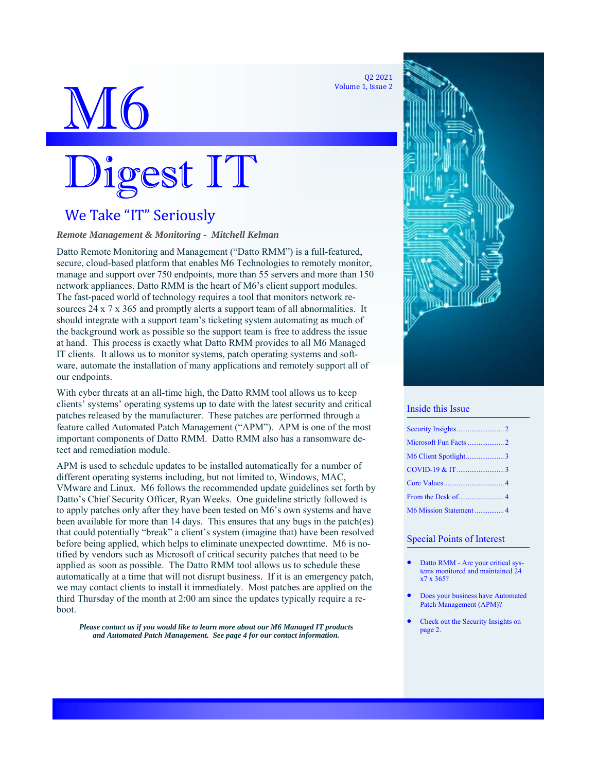Q2 2021 Volume 1, Issue 2



# Digest IT

# We Take "IT" Seriously

## *Remote Management & Monitoring - Mitchell Kelman*

Datto Remote Monitoring and Management ("Datto RMM") is a full-featured, secure, cloud-based platform that enables M6 Technologies to remotely monitor, manage and support over 750 endpoints, more than 55 servers and more than 150 network appliances. Datto RMM is the heart of M6's client support modules. The fast-paced world of technology requires a tool that monitors network resources 24 x 7 x 365 and promptly alerts a support team of all abnormalities. It should integrate with a support team's ticketing system automating as much of the background work as possible so the support team is free to address the issue at hand. This process is exactly what Datto RMM provides to all M6 Managed IT clients. It allows us to monitor systems, patch operating systems and software, automate the installation of many applications and remotely support all of our endpoints.

With cyber threats at an all-time high, the Datto RMM tool allows us to keep clients' systems' operating systems up to date with the latest security and critical patches released by the manufacturer. These patches are performed through a feature called Automated Patch Management ("APM"). APM is one of the most important components of Datto RMM. Datto RMM also has a ransomware detect and remediation module.

APM is used to schedule updates to be installed automatically for a number of different operating systems including, but not limited to, Windows, MAC, VMware and Linux. M6 follows the recommended update guidelines set forth by Datto's Chief Security Officer, Ryan Weeks. One guideline strictly followed is to apply patches only after they have been tested on M6's own systems and have been available for more than 14 days. This ensures that any bugs in the patch(es) that could potentially "break" a client's system (imagine that) have been resolved before being applied, which helps to eliminate unexpected downtime. M6 is notified by vendors such as Microsoft of critical security patches that need to be applied as soon as possible. The Datto RMM tool allows us to schedule these automatically at a time that will not disrupt business. If it is an emergency patch, we may contact clients to install it immediately. Most patches are applied on the third Thursday of the month at 2:00 am since the updates typically require a reboot.

*Please contact us if you would like to learn more about our M6 Managed IT products and Automated Patch Management. See page 4 for our contact information.* 



#### Inside this Issue

## Special Points of Interest

- Datto RMM Are your critical systems monitored and maintained 24 x7 x 365?
- Does your business have Automated Patch Management (APM)?
- Check out the Security Insights on page 2.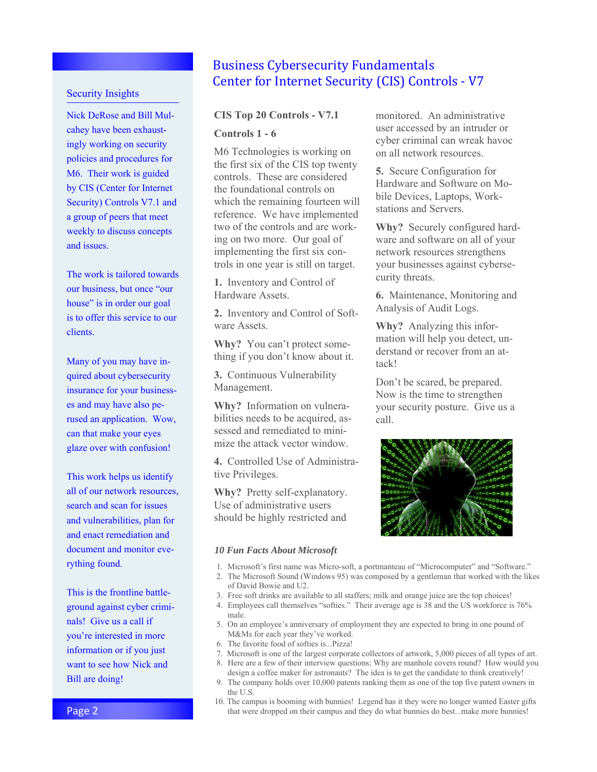## Security Insights

Nick DeRose and Bill Mulcahey have been exhaustingly working on security policies and procedures for M6. Their work is guided by CIS (Center for Internet Security) Controls V7.1 and a group of peers that meet weekly to discuss concepts and issues.

The work is tailored towards our business, but once "our house" is in order our goal is to offer this service to our clients.

Many of you may have inquired about cybersecurity insurance for your businesses and may have also perused an application. Wow, can that make your eyes glaze over with confusion!

This work helps us identify all of our network resources, search and scan for issues and vulnerabilities, plan for and enact remediation and document and monitor everything found.

This is the frontline battleground against cyber criminals! Give us a call if you're interested in more information or if you just want to see how Nick and Bill are doing!

## **Business Cybersecurity Fundamentals** Center for Internet Security (CIS) Controls - V7

## **CIS Top 20 Controls - V7.1 Controls 1 - 6**

M6 Technologies is working on the first six of the CIS top twenty controls. These are considered the foundational controls on which the remaining fourteen will reference. We have implemented two of the controls and are working on two more. Our goal of implementing the first six controls in one year is still on target.

**1.** Inventory and Control of Hardware Assets.

**2.** Inventory and Control of Software Assets.

**Why?** You can't protect something if you don't know about it.

**3.** Continuous Vulnerability Management.

**Why?** Information on vulnerabilities needs to be acquired, assessed and remediated to minimize the attack vector window.

**4.** Controlled Use of Administrative Privileges.

**Why?** Pretty self-explanatory. Use of administrative users should be highly restricted and

#### *10 Fun Facts About Microsoft*

- 1. Microsoft's first name was Micro-soft, a portmanteau of "Microcomputer" and "Software."
- 2. The Microsoft Sound (Windows 95) was composed by a gentleman that worked with the likes of David Bowie and U2.
- 3. Free soft drinks are available to all staffers; milk and orange juice are the top choices!
- 4. Employees call themselves "softies." Their average age is 38 and the US workforce is 76% male.
- 5. On an employee's anniversary of employment they are expected to bring in one pound of M&Ms for each year they've worked.
- 6. The favorite food of softies is...Pizza!
- 7. Microsoft is one of the largest corporate collectors of artwork, 5,000 pieces of all types of art.
- 8. Here are a few of their interview questions; Why are manhole covers round? How would you design a coffee maker for astronauts? The idea is to get the candidate to think creatively!
- 9. The company holds over 10,000 patents ranking them as one of the top five patent owners in the U.S.
- 10. The campus is booming with bunnies! Legend has it they were no longer wanted Easter gifts that were dropped on their campus and they do what bunnies do best...make more bunnies!

monitored. An administrative user accessed by an intruder or cyber criminal can wreak havoc on all network resources.

**5.** Secure Configuration for Hardware and Software on Mobile Devices, Laptops, Workstations and Servers.

**Why?** Securely configured hardware and software on all of your network resources strengthens your businesses against cybersecurity threats.

**6.** Maintenance, Monitoring and Analysis of Audit Logs.

**Why?** Analyzing this information will help you detect, understand or recover from an attack!

Don't be scared, be prepared. Now is the time to strengthen your security posture. Give us a call.

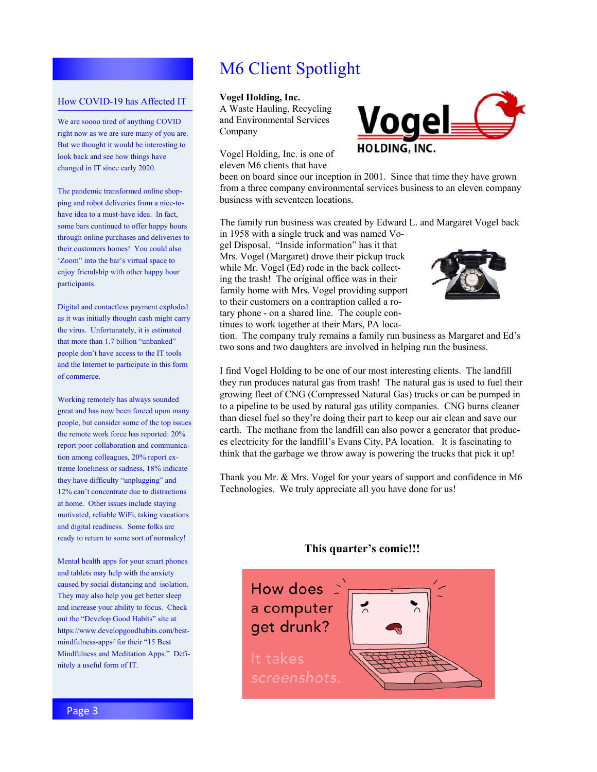# M6 Client Spotlight

## How COVID-19 has Affected IT

We are soooo tired of anything COVID right now as we are sure many of you are. But we thought it would be interesting to look back and see how things have changed in IT since early 2020.

The pandemic transformed online shopping and robot deliveries from a nice-tohave idea to a must-have idea. In fact, some bars continued to offer happy hours through online purchases and deliveries to their customers homes! You could also 'Zoom" into the bar's virtual space to enjoy friendship with other happy hour participants.

Digital and contactless payment exploded as it was initially thought cash might carry the virus. Unfortunately, it is estimated that more than 1.7 billion "unbanked" people don't have access to the IT tools and the Internet to participate in this form of commerce.

Working remotely has always sounded great and has now been forced upon many people, but consider some of the top issues the remote work force has reported: 20% report poor collaboration and communication among colleagues, 20% report extreme loneliness or sadness, 18% indicate they have difficulty "unplugging" and 12% can't concentrate due to distractions at home. Other issues include staying motivated, reliable WiFi, taking vacations and digital readiness. Some folks are ready to return to some sort of normalcy!

Mental health apps for your smart phones and tablets may help with the anxiety caused by social distancing and isolation. They may also help you get better sleep and increase your ability to focus. Check out the "Develop Good Habits" site at https://www.developgoodhabits.com/bestmindfulness-apps/ for their "15 Best Mindfulness and Meditation Apps." Definitely a useful form of IT.

## **Vogel Holding, Inc.**

A Waste Hauling, Recycling and Environmental Services Company

Vogel Holding, Inc. is one of eleven M6 clients that have



been on board since our inception in 2001. Since that time they have grown from a three company environmental services business to an eleven company business with seventeen locations.

The family run business was created by Edward L. and Margaret Vogel back

in 1958 with a single truck and was named Vogel Disposal. "Inside information" has it that Mrs. Vogel (Margaret) drove their pickup truck while Mr. Vogel (Ed) rode in the back collecting the trash! The original office was in their family home with Mrs. Vogel providing support to their customers on a contraption called a rotary phone - on a shared line. The couple continues to work together at their Mars, PA loca-



tion. The company truly remains a family run business as Margaret and Ed's two sons and two daughters are involved in helping run the business.

I find Vogel Holding to be one of our most interesting clients. The landfill they run produces natural gas from trash! The natural gas is used to fuel their growing fleet of CNG (Compressed Natural Gas) trucks or can be pumped in to a pipeline to be used by natural gas utility companies. CNG burns cleaner than diesel fuel so they're doing their part to keep our air clean and save our earth. The methane from the landfill can also power a generator that produces electricity for the landfill's Evans City, PA location. It is fascinating to think that the garbage we throw away is powering the trucks that pick it up!

Thank you Mr. & Mrs. Vogel for your years of support and confidence in M6 Technologies. We truly appreciate all you have done for us!

## **This quarter's comic!!!**